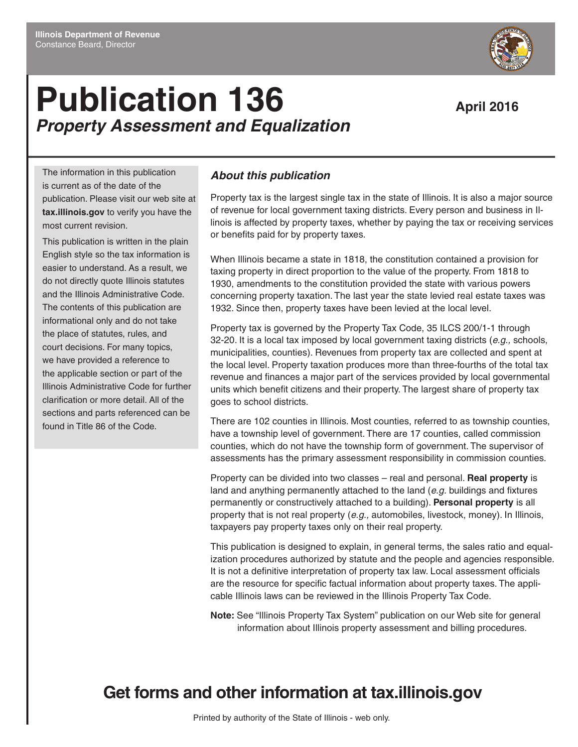# **Publication 136** April 2016 *Property Assessment and Equalization*

The information in this publication is current as of the date of the publication. Please visit our web site at **tax.illinois.gov** to verify you have the most current revision.

This publication is written in the plain English style so the tax information is easier to understand. As a result, we do not directly quote Illinois statutes and the Illinois Administrative Code. The contents of this publication are informational only and do not take the place of statutes, rules, and court decisions. For many topics, we have provided a reference to the applicable section or part of the Illinois Administrative Code for further clarification or more detail. All of the sections and parts referenced can be found in Title 86 of the Code.

### *About this publication*

Property tax is the largest single tax in the state of Illinois. It is also a major source of revenue for local government taxing districts. Every person and business in Illinois is affected by property taxes, whether by paying the tax or receiving services or benefits paid for by property taxes.

When Illinois became a state in 1818, the constitution contained a provision for taxing property in direct proportion to the value of the property. From 1818 to 1930, amendments to the constitution provided the state with various powers concerning property taxation. The last year the state levied real estate taxes was 1932. Since then, property taxes have been levied at the local level.

Property tax is governed by the Property Tax Code, 35 ILCS 200/1-1 through 32-20. It is a local tax imposed by local government taxing districts (*e.g.,* schools, municipalities, counties). Revenues from property tax are collected and spent at the local level. Property taxation produces more than three-fourths of the total tax revenue and finances a major part of the services provided by local governmental units which benefit citizens and their property. The largest share of property tax goes to school districts.

There are 102 counties in Illinois. Most counties, referred to as township counties, have a township level of government. There are 17 counties, called commission counties, which do not have the township form of government. The supervisor of assessments has the primary assessment responsibility in commission counties.

Property can be divided into two classes – real and personal. **Real property** is land and anything permanently attached to the land (*e.g.* buildings and fixtures permanently or constructively attached to a building). **Personal property** is all property that is not real property (*e.g.,* automobiles, livestock, money). In Illinois, taxpayers pay property taxes only on their real property.

This publication is designed to explain, in general terms, the sales ratio and equalization procedures authorized by statute and the people and agencies responsible. It is not a definitive interpretation of property tax law. Local assessment officials are the resource for specific factual information about property taxes. The applicable Illinois laws can be reviewed in the Illinois Property Tax Code.

**Note:** See "Illinois Property Tax System" publication on our Web site for general information about Illinois property assessment and billing procedures.

## **Get forms and other information at tax.illinois.gov**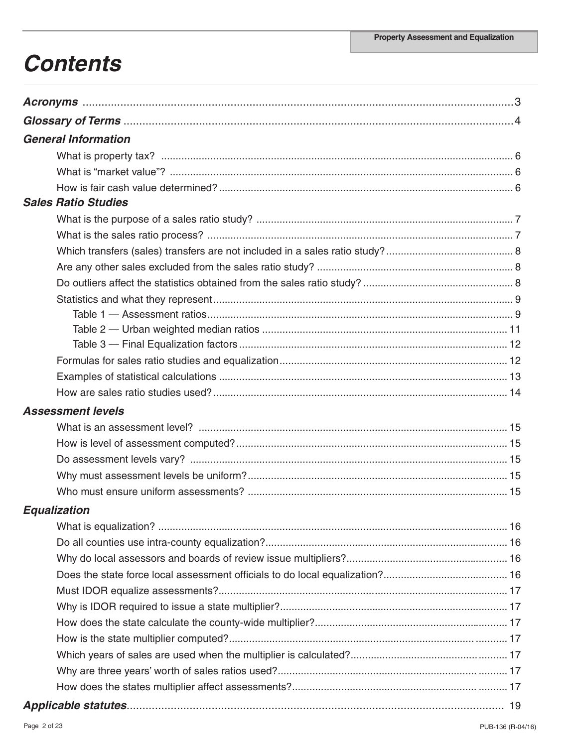## **Contents**

| <b>General Information</b> |  |
|----------------------------|--|
|                            |  |
|                            |  |
|                            |  |
| <b>Sales Ratio Studies</b> |  |
|                            |  |
|                            |  |
|                            |  |
|                            |  |
|                            |  |
|                            |  |
|                            |  |
|                            |  |
|                            |  |
|                            |  |
|                            |  |
|                            |  |
| <b>Assessment levels</b>   |  |
|                            |  |
|                            |  |
|                            |  |
|                            |  |
|                            |  |
| <b>Equalization</b>        |  |
|                            |  |
|                            |  |
|                            |  |
|                            |  |
|                            |  |
|                            |  |
|                            |  |
|                            |  |
|                            |  |
|                            |  |
|                            |  |
|                            |  |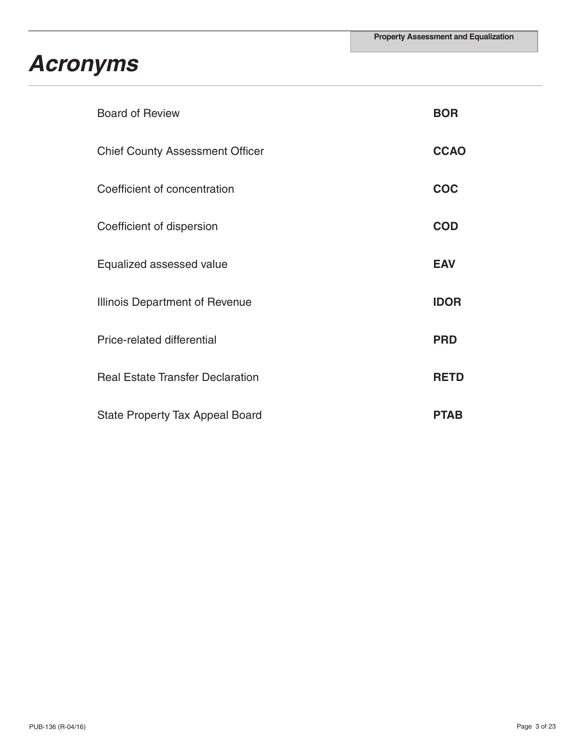## *Acronyms*

| <b>Board of Review</b>                  | <b>BOR</b>  |
|-----------------------------------------|-------------|
| <b>Chief County Assessment Officer</b>  | <b>CCAO</b> |
| Coefficient of concentration            | <b>COC</b>  |
| Coefficient of dispersion               | <b>COD</b>  |
| Equalized assessed value                | <b>EAV</b>  |
| Illinois Department of Revenue          | <b>IDOR</b> |
| Price-related differential              | <b>PRD</b>  |
| <b>Real Estate Transfer Declaration</b> | <b>RETD</b> |
| <b>State Property Tax Appeal Board</b>  | <b>PTAB</b> |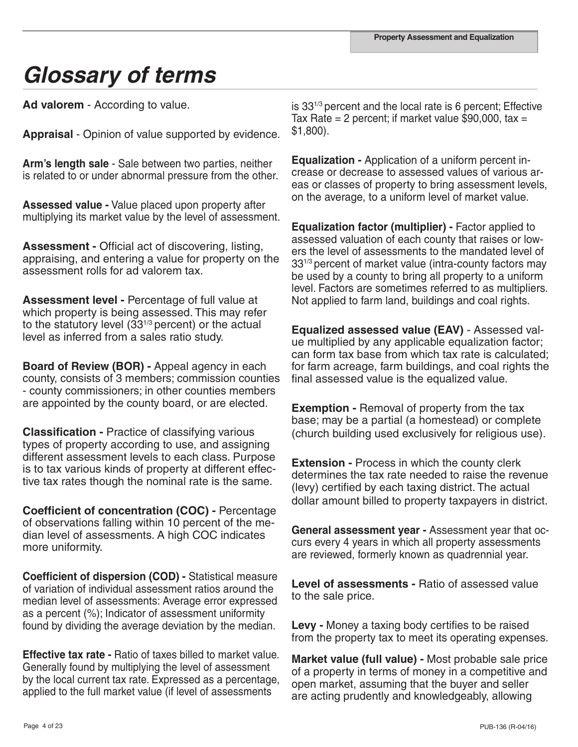# *Glossary of terms*

**Ad valorem** - According to value.

**Appraisal** - Opinion of value supported by evidence.

**Arm's length sale** - Sale between two parties, neither is related to or under abnormal pressure from the other.

**Assessed value -** Value placed upon property after multiplying its market value by the level of assessment.

**Assessment -** Official act of discovering, listing, appraising, and entering a value for property on the assessment rolls for ad valorem tax.

**Assessment level -** Percentage of full value at which property is being assessed. This may refer to the statutory level  $(33^{1/3})$  percent) or the actual level as inferred from a sales ratio study.

**Board of Review (BOR) -** Appeal agency in each county, consists of 3 members; commission counties - county commissioners; in other counties members are appointed by the county board, or are elected.

**Classification -** Practice of classifying various types of property according to use, and assigning different assessment levels to each class. Purpose is to tax various kinds of property at different effective tax rates though the nominal rate is the same.

**Coefficient of concentration (COC) -** Percentage of observations falling within 10 percent of the median level of assessments. A high COC indicates more uniformity.

**Coefficient of dispersion (COD) -** Statistical measure of variation of individual assessment ratios around the median level of assessments: Average error expressed as a percent (%); Indicator of assessment uniformity found by dividing the average deviation by the median.

**Effective tax rate -** Ratio of taxes billed to market value. Generally found by multiplying the level of assessment by the local current tax rate. Expressed as a percentage, applied to the full market value (if level of assessments

is 331/3 percent and the local rate is 6 percent; Effective Tax Rate = 2 percent; if market value \$90,000, tax = \$1,800).

**Equalization -** Application of a uniform percent increase or decrease to assessed values of various areas or classes of property to bring assessment levels, on the average, to a uniform level of market value.

**Equalization factor (multiplier) -** Factor applied to assessed valuation of each county that raises or lowers the level of assessments to the mandated level of 331/3 percent of market value (intra-county factors may be used by a county to bring all property to a uniform level. Factors are sometimes referred to as multipliers. Not applied to farm land, buildings and coal rights.

**Equalized assessed value (EAV)** - Assessed value multiplied by any applicable equalization factor; can form tax base from which tax rate is calculated; for farm acreage, farm buildings, and coal rights the final assessed value is the equalized value.

**Exemption -** Removal of property from the tax base; may be a partial (a homestead) or complete (church building used exclusively for religious use).

**Extension -** Process in which the county clerk determines the tax rate needed to raise the revenue (levy) certified by each taxing district. The actual dollar amount billed to property taxpayers in district.

**General assessment year -** Assessment year that occurs every 4 years in which all property assessments are reviewed, formerly known as quadrennial year.

**Level of assessments -** Ratio of assessed value to the sale price.

**Levy -** Money a taxing body certifies to be raised from the property tax to meet its operating expenses.

**Market value (full value) -** Most probable sale price of a property in terms of money in a competitive and open market, assuming that the buyer and seller are acting prudently and knowledgeably, allowing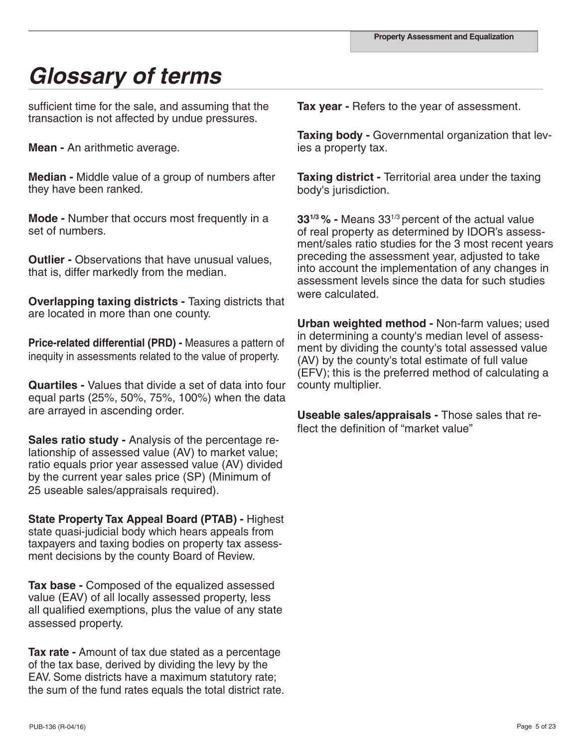# *Glossary of terms*

sufficient time for the sale, and assuming that the transaction is not affected by undue pressures.

**Mean -** An arithmetic average.

**Median -** Middle value of a group of numbers after they have been ranked.

**Mode -** Number that occurs most frequently in a set of numbers.

**Outlier - Observations that have unusual values,** that is, differ markedly from the median.

**Overlapping taxing districts -** Taxing districts that are located in more than one county.

**Price-related differential (PRD) -** Measures a pattern of inequity in assessments related to the value of property.

**Quartiles -** Values that divide a set of data into four equal parts (25%, 50%, 75%, 100%) when the data are arrayed in ascending order.

**Sales ratio study -** Analysis of the percentage relationship of assessed value (AV) to market value; ratio equals prior year assessed value (AV) divided by the current year sales price (SP) (Minimum of 25 useable sales/appraisals required).

**State Property Tax Appeal Board (PTAB) -** Highest state quasi-judicial body which hears appeals from taxpayers and taxing bodies on property tax assessment decisions by the county Board of Review.

**Tax base -** Composed of the equalized assessed value (EAV) of all locally assessed property, less all qualified exemptions, plus the value of any state assessed property.

**Tax rate -** Amount of tax due stated as a percentage of the tax base, derived by dividing the levy by the EAV. Some districts have a maximum statutory rate; the sum of the fund rates equals the total district rate. **Tax year -** Refers to the year of assessment.

**Taxing body -** Governmental organization that levies a property tax.

**Taxing district -** Territorial area under the taxing body's jurisdiction.

**331/3 % -** Means 331/3 percent of the actual value of real property as determined by IDOR's assessment/sales ratio studies for the 3 most recent years preceding the assessment year, adjusted to take into account the implementation of any changes in assessment levels since the data for such studies were calculated.

**Urban weighted method -** Non-farm values; used in determining a county's median level of assessment by dividing the county's total assessed value (AV) by the county's total estimate of full value (EFV); this is the preferred method of calculating a county multiplier.

**Useable sales/appraisals -** Those sales that reflect the definition of "market value"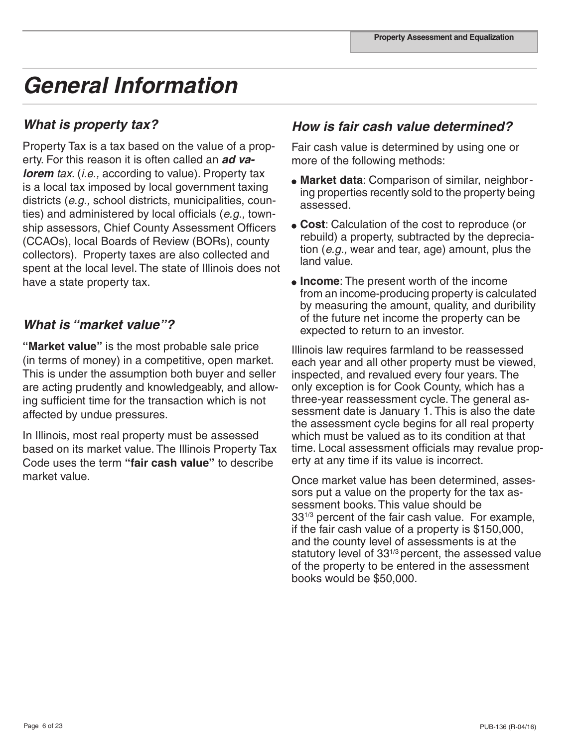## *General Information*

## *What is property tax?*

Property Tax is a tax based on the value of a property. For this reason it is often called an *ad valorem tax.* (*i.e.*, according to value). Property tax is a local tax imposed by local government taxing districts (*e.g.,* school districts, municipalities, counties) and administered by local officials (*e.g.,* township assessors, Chief County Assessment Officers (CCAOs), local Boards of Review (BORs), county collectors). Property taxes are also collected and spent at the local level. The state of Illinois does not have a state property tax.

## *What is "market value"?*

**"Market value"** is the most probable sale price (in terms of money) in a competitive, open market. This is under the assumption both buyer and seller are acting prudently and knowledgeably, and allowing sufficient time for the transaction which is not affected by undue pressures.

In Illinois, most real property must be assessed based on its market value. The Illinois Property Tax Code uses the term **"fair cash value"** to describe market value.

## *How is fair cash value determined?*

Fair cash value is determined by using one or more of the following methods:

- **Market data**: Comparison of similar, neighboring properties recently sold to the property being assessed.
- **Cost**: Calculation of the cost to reproduce (or rebuild) a property, subtracted by the depreciation (*e.g.,* wear and tear, age) amount, plus the land value.
- **Income**: The present worth of the income from an income-producing property is calculated by measuring the amount, quality, and duribility of the future net income the property can be expected to return to an investor.

Illinois law requires farmland to be reassessed each year and all other property must be viewed, inspected, and revalued every four years. The only exception is for Cook County, which has a three-year reassessment cycle. The general assessment date is January 1. This is also the date the assessment cycle begins for all real property which must be valued as to its condition at that time. Local assessment officials may revalue property at any time if its value is incorrect.

Once market value has been determined, assessors put a value on the property for the tax assessment books. This value should be 33<sup>1/3</sup> percent of the fair cash value. For example, if the fair cash value of a property is \$150,000, and the county level of assessments is at the statutory level of  $33^{1/3}$  percent, the assessed value of the property to be entered in the assessment books would be \$50,000.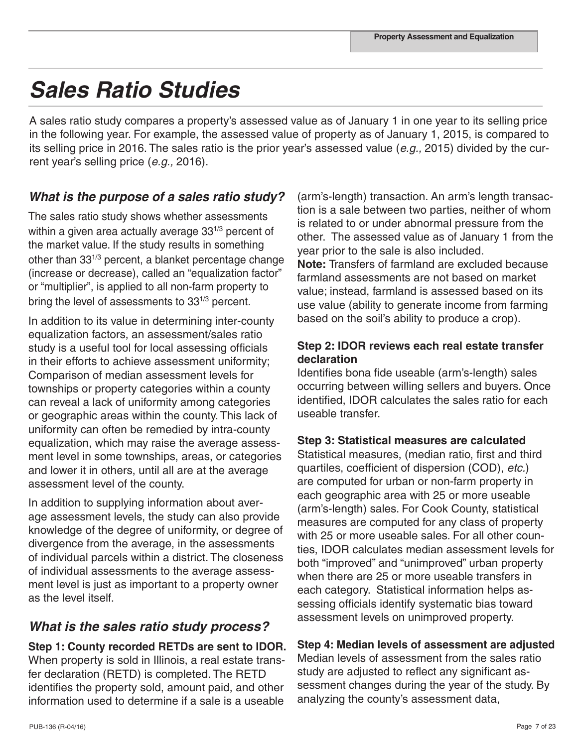## *Sales Ratio Studies*

A sales ratio study compares a property's assessed value as of January 1 in one year to its selling price in the following year. For example, the assessed value of property as of January 1, 2015, is compared to its selling price in 2016. The sales ratio is the prior year's assessed value (*e.g.,* 2015) divided by the current year's selling price (*e.g.,* 2016).

## *What is the purpose of a sales ratio study?*

The sales ratio study shows whether assessments within a given area actually average 33<sup>1/3</sup> percent of the market value. If the study results in something other than 331/3 percent, a blanket percentage change (increase or decrease), called an "equalization factor" or "multiplier", is applied to all non-farm property to bring the level of assessments to  $33^{1/3}$  percent.

In addition to its value in determining inter-county equalization factors, an assessment/sales ratio study is a useful tool for local assessing officials in their efforts to achieve assessment uniformity; Comparison of median assessment levels for townships or property categories within a county can reveal a lack of uniformity among categories or geographic areas within the county. This lack of uniformity can often be remedied by intra-county equalization, which may raise the average assessment level in some townships, areas, or categories and lower it in others, until all are at the average assessment level of the county.

In addition to supplying information about average assessment levels, the study can also provide knowledge of the degree of uniformity, or degree of divergence from the average, in the assessments of individual parcels within a district. The closeness of individual assessments to the average assessment level is just as important to a property owner as the level itself.

## *What is the sales ratio study process?*

**Step 1: County recorded RETDs are sent to IDOR.**  When property is sold in Illinois, a real estate transfer declaration (RETD) is completed. The RETD identifies the property sold, amount paid, and other information used to determine if a sale is a useable

(arm's-length) transaction. An arm's length transaction is a sale between two parties, neither of whom is related to or under abnormal pressure from the other. The assessed value as of January 1 from the year prior to the sale is also included. **Note:** Transfers of farmland are excluded because farmland assessments are not based on market value; instead, farmland is assessed based on its use value (ability to generate income from farming based on the soil's ability to produce a crop).

### **Step 2: IDOR reviews each real estate transfer declaration**

Identifies bona fide useable (arm's-length) sales occurring between willing sellers and buyers. Once identified, IDOR calculates the sales ratio for each useable transfer.

### **Step 3: Statistical measures are calculated**

Statistical measures, (median ratio, first and third quartiles, coefficient of dispersion (COD), *etc.*) are computed for urban or non-farm property in each geographic area with 25 or more useable (arm's-length) sales. For Cook County, statistical measures are computed for any class of property with 25 or more useable sales. For all other counties, IDOR calculates median assessment levels for both "improved" and "unimproved" urban property when there are 25 or more useable transfers in each category. Statistical information helps assessing officials identify systematic bias toward assessment levels on unimproved property.

### **Step 4: Median levels of assessment are adjusted**

Median levels of assessment from the sales ratio study are adjusted to reflect any significant assessment changes during the year of the study. By analyzing the county's assessment data,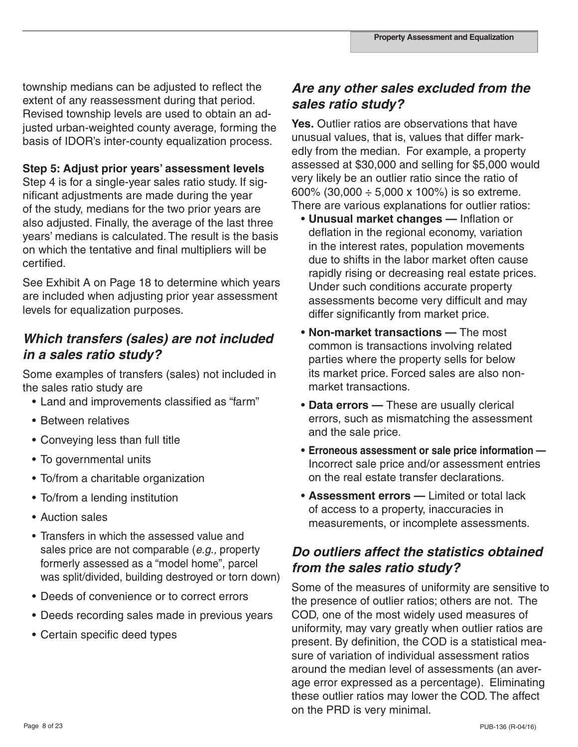township medians can be adjusted to reflect the extent of any reassessment during that period. Revised township levels are used to obtain an adjusted urban-weighted county average, forming the basis of IDOR's inter-county equalization process.

#### **Step 5: Adjust prior years' assessment levels**

Step 4 is for a single-year sales ratio study. If significant adjustments are made during the year of the study, medians for the two prior years are also adjusted. Finally, the average of the last three years' medians is calculated. The result is the basis on which the tentative and final multipliers will be certified.

See Exhibit A on Page 18 to determine which years are included when adjusting prior year assessment levels for equalization purposes.

## *Which transfers (sales) are not included in a sales ratio study?*

Some examples of transfers (sales) not included in the sales ratio study are

- Land and improvements classified as "farm"
- Between relatives
- Conveying less than full title
- To governmental units
- To/from a charitable organization
- To/from a lending institution
- Auction sales
- Transfers in which the assessed value and sales price are not comparable (*e.g.,* property formerly assessed as a "model home", parcel was split/divided, building destroyed or torn down)
- Deeds of convenience or to correct errors
- Deeds recording sales made in previous years
- Certain specific deed types

## *Are any other sales excluded from the sales ratio study?*

**Yes.** Outlier ratios are observations that have unusual values, that is, values that differ markedly from the median. For example, a property assessed at \$30,000 and selling for \$5,000 would very likely be an outlier ratio since the ratio of 600% (30,000  $\div$  5,000 x 100%) is so extreme. There are various explanations for outlier ratios:

- **Unusual market changes** Inflation or deflation in the regional economy, variation in the interest rates, population movements due to shifts in the labor market often cause rapidly rising or decreasing real estate prices. Under such conditions accurate property assessments become very difficult and may differ significantly from market price.
- **Non-market transactions** The most common is transactions involving related parties where the property sells for below its market price. Forced sales are also non market transactions.
- **Data errors** These are usually clerical errors, such as mismatching the assessment and the sale price.
- **Erroneous assessment or sale price information —** Incorrect sale price and/or assessment entries on the real estate transfer declarations.
- **Assessment errors —** Limited or total lack of access to a property, inaccuracies in measurements, or incomplete assessments.

## *Do outliers affect the statistics obtained from the sales ratio study?*

Some of the measures of uniformity are sensitive to the presence of outlier ratios; others are not. The COD, one of the most widely used measures of uniformity, may vary greatly when outlier ratios are present. By definition, the COD is a statistical measure of variation of individual assessment ratios around the median level of assessments (an average error expressed as a percentage). Eliminating these outlier ratios may lower the COD. The affect on the PRD is very minimal.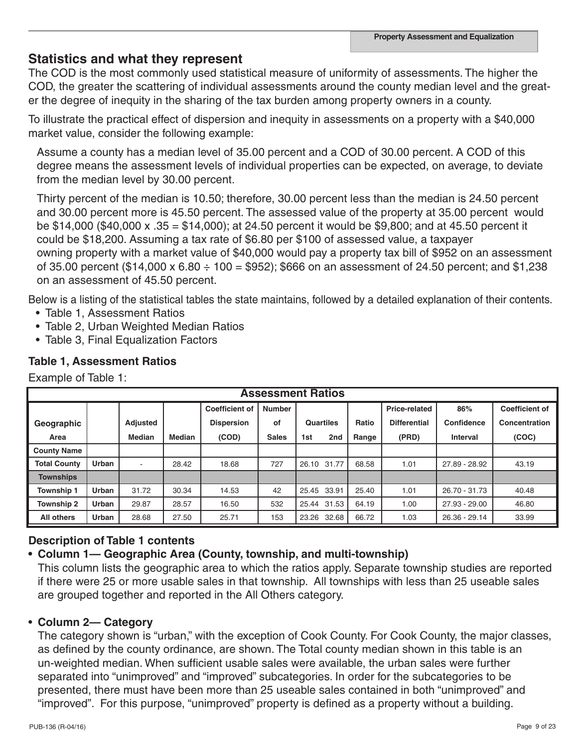## **Statistics and what they represent**

The COD is the most commonly used statistical measure of uniformity of assessments. The higher the COD, the greater the scattering of individual assessments around the county median level and the greater the degree of inequity in the sharing of the tax burden among property owners in a county.

To illustrate the practical effect of dispersion and inequity in assessments on a property with a \$40,000 market value, consider the following example:

Assume a county has a median level of 35.00 percent and a COD of 30.00 percent. A COD of this degree means the assessment levels of individual properties can be expected, on average, to deviate from the median level by 30.00 percent.

Thirty percent of the median is 10.50; therefore, 30.00 percent less than the median is 24.50 percent and 30.00 percent more is 45.50 percent. The assessed value of the property at 35.00 percent would be \$14,000 (\$40,000 x .35 = \$14,000); at 24.50 percent it would be \$9,800; and at 45.50 percent it could be \$18,200. Assuming a tax rate of \$6.80 per \$100 of assessed value, a taxpayer owning property with a market value of \$40,000 would pay a property tax bill of \$952 on an assessment of 35.00 percent (\$14,000 x 6.80  $\div$  100 = \$952); \$666 on an assessment of 24.50 percent; and \$1,238 on an assessment of 45.50 percent.

Below is a listing of the statistical tables the state maintains, followed by a detailed explanation of their contents.

- Table 1, Assessment Ratios
- Table 2, Urban Weighted Median Ratios
- Table 3, Final Equalization Factors

### **Table 1, Assessment Ratios**

Example of Table 1:

| <b>Assessment Ratios</b> |       |                                        |               |                   |                            |             |       |       |                     |               |                       |               |       |
|--------------------------|-------|----------------------------------------|---------------|-------------------|----------------------------|-------------|-------|-------|---------------------|---------------|-----------------------|---------------|-------|
|                          |       | <b>Coefficient of</b><br><b>Number</b> |               |                   |                            |             |       |       |                     | 86%           | <b>Coefficient of</b> |               |       |
| Geographic               |       | <b>Adjusted</b>                        |               | <b>Dispersion</b> | οf                         | Quartiles   |       | Ratio | <b>Differential</b> | Confidence    | Concentration         |               |       |
| Area                     |       | <b>Median</b>                          | <b>Median</b> | (COD)             | <b>Sales</b><br>2nd<br>1st |             | Range |       | (PRD)               | Interval      | (COC)                 |               |       |
| <b>County Name</b>       |       |                                        |               |                   |                            |             |       |       |                     |               |                       |               |       |
| <b>Total County</b>      | Urban | $\overline{\phantom{a}}$               | 28.42         | 18.68             | 727                        |             |       |       | 26.10 31.77         |               | 1.01                  | 27.89 - 28.92 | 43.19 |
| <b>Townships</b>         |       |                                        |               |                   |                            |             |       |       |                     |               |                       |               |       |
| <b>Township 1</b>        | Urban | 31.72                                  | 30.34         | 14.53             | 42                         | 25.45 33.91 |       | 25.40 | 1.01                | 26.70 - 31.73 | 40.48                 |               |       |
| Township 2               | Urban | 29.87                                  | 28.57         | 16.50             | 532                        | 25.44 31.53 |       | 64.19 | 1.00                | 27.93 - 29.00 | 46.80                 |               |       |
| All others               | Urban | 28.68                                  | 27.50         | 25.71             | 153                        | 23.26 32.68 |       | 66.72 | 1.03                | 26.36 - 29.14 | 33.99                 |               |       |

### **Description of Table 1 contents**

#### **• Column 1— Geographic Area (County, township, and multi-township)**

This column lists the geographic area to which the ratios apply. Separate township studies are reported if there were 25 or more usable sales in that township. All townships with less than 25 useable sales are grouped together and reported in the All Others category.

#### • **Column 2— Category**

The category shown is "urban," with the exception of Cook County. For Cook County, the major classes, as defined by the county ordinance, are shown. The Total county median shown in this table is an un-weighted median. When sufficient usable sales were available, the urban sales were further separated into "unimproved" and "improved" subcategories. In order for the subcategories to be presented, there must have been more than 25 useable sales contained in both "unimproved" and "improved". For this purpose, "unimproved" property is defined as a property without a building.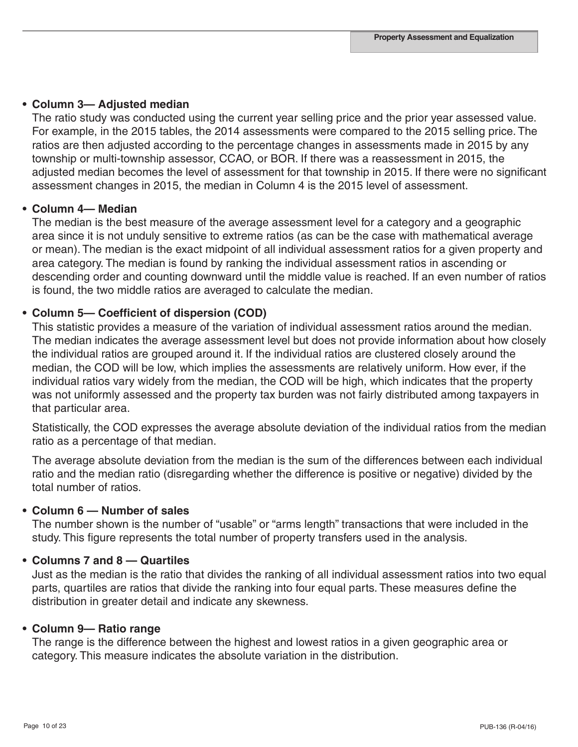#### **• Column 3— Adjusted median**

The ratio study was conducted using the current year selling price and the prior year assessed value. For example, in the 2015 tables, the 2014 assessments were compared to the 2015 selling price. The ratios are then adjusted according to the percentage changes in assessments made in 2015 by any township or multi-township assessor, CCAO, or BOR. If there was a reassessment in 2015, the adjusted median becomes the level of assessment for that township in 2015. If there were no significant assessment changes in 2015, the median in Column 4 is the 2015 level of assessment.

#### **• Column 4— Median**

The median is the best measure of the average assessment level for a category and a geographic area since it is not unduly sensitive to extreme ratios (as can be the case with mathematical average or mean). The median is the exact midpoint of all individual assessment ratios for a given property and area category. The median is found by ranking the individual assessment ratios in ascending or descending order and counting downward until the middle value is reached. If an even number of ratios is found, the two middle ratios are averaged to calculate the median.

#### **• Column 5— Coefficient of dispersion (COD)**

This statistic provides a measure of the variation of individual assessment ratios around the median. The median indicates the average assessment level but does not provide information about how closely the individual ratios are grouped around it. If the individual ratios are clustered closely around the median, the COD will be low, which implies the assessments are relatively uniform. How ever, if the individual ratios vary widely from the median, the COD will be high, which indicates that the property was not uniformly assessed and the property tax burden was not fairly distributed among taxpayers in that particular area.

Statistically, the COD expresses the average absolute deviation of the individual ratios from the median ratio as a percentage of that median.

The average absolute deviation from the median is the sum of the differences between each individual ratio and the median ratio (disregarding whether the difference is positive or negative) divided by the total number of ratios.

#### **• Column 6 — Number of sales**

The number shown is the number of "usable" or "arms length" transactions that were included in the study. This figure represents the total number of property transfers used in the analysis.

#### **• Columns 7 and 8 — Quartiles**

Just as the median is the ratio that divides the ranking of all individual assessment ratios into two equal parts, quartiles are ratios that divide the ranking into four equal parts. These measures define the distribution in greater detail and indicate any skewness.

#### **• Column 9— Ratio range**

The range is the difference between the highest and lowest ratios in a given geographic area or category. This measure indicates the absolute variation in the distribution.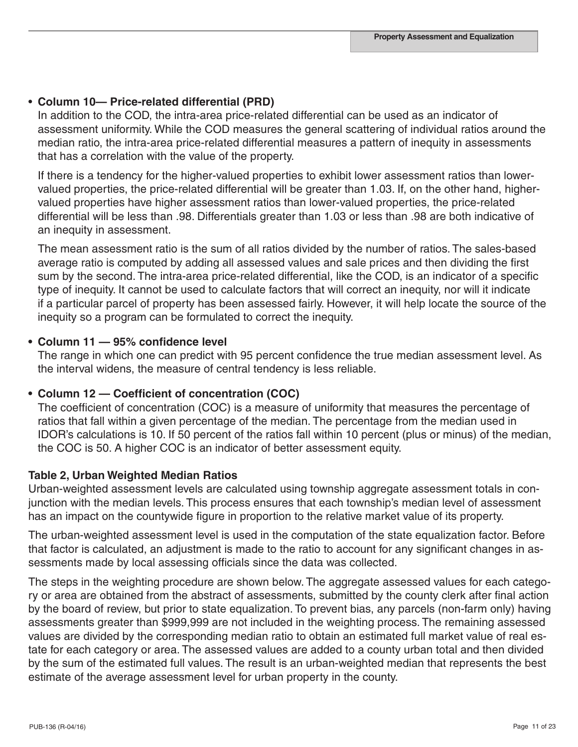#### • **Column 10— Price-related differential (PRD)**

In addition to the COD, the intra-area price-related differential can be used as an indicator of assessment uniformity. While the COD measures the general scattering of individual ratios around the median ratio, the intra-area price-related differential measures a pattern of inequity in assessments that has a correlation with the value of the property.

If there is a tendency for the higher-valued properties to exhibit lower assessment ratios than lowervalued properties, the price-related differential will be greater than 1.03. If, on the other hand, highervalued properties have higher assessment ratios than lower-valued properties, the price-related differential will be less than .98. Differentials greater than 1.03 or less than .98 are both indicative of an inequity in assessment.

The mean assessment ratio is the sum of all ratios divided by the number of ratios. The sales-based average ratio is computed by adding all assessed values and sale prices and then dividing the first sum by the second. The intra-area price-related differential, like the COD, is an indicator of a specific type of inequity. It cannot be used to calculate factors that will correct an inequity, nor will it indicate if a particular parcel of property has been assessed fairly. However, it will help locate the source of the inequity so a program can be formulated to correct the inequity.

#### **• Column 11 — 95% confidence level**

The range in which one can predict with 95 percent confidence the true median assessment level. As the interval widens, the measure of central tendency is less reliable.

#### **• Column 12 — Coefficient of concentration (COC)**

The coefficient of concentration (COC) is a measure of uniformity that measures the percentage of ratios that fall within a given percentage of the median. The percentage from the median used in IDOR's calculations is 10. If 50 percent of the ratios fall within 10 percent (plus or minus) of the median, the COC is 50. A higher COC is an indicator of better assessment equity.

#### **Table 2, Urban Weighted Median Ratios**

Urban-weighted assessment levels are calculated using township aggregate assessment totals in conjunction with the median levels. This process ensures that each township's median level of assessment has an impact on the countywide figure in proportion to the relative market value of its property.

The urban-weighted assessment level is used in the computation of the state equalization factor. Before that factor is calculated, an adjustment is made to the ratio to account for any significant changes in assessments made by local assessing officials since the data was collected.

The steps in the weighting procedure are shown below. The aggregate assessed values for each category or area are obtained from the abstract of assessments, submitted by the county clerk after final action by the board of review, but prior to state equalization. To prevent bias, any parcels (non-farm only) having assessments greater than \$999,999 are not included in the weighting process. The remaining assessed values are divided by the corresponding median ratio to obtain an estimated full market value of real estate for each category or area. The assessed values are added to a county urban total and then divided by the sum of the estimated full values. The result is an urban-weighted median that represents the best estimate of the average assessment level for urban property in the county.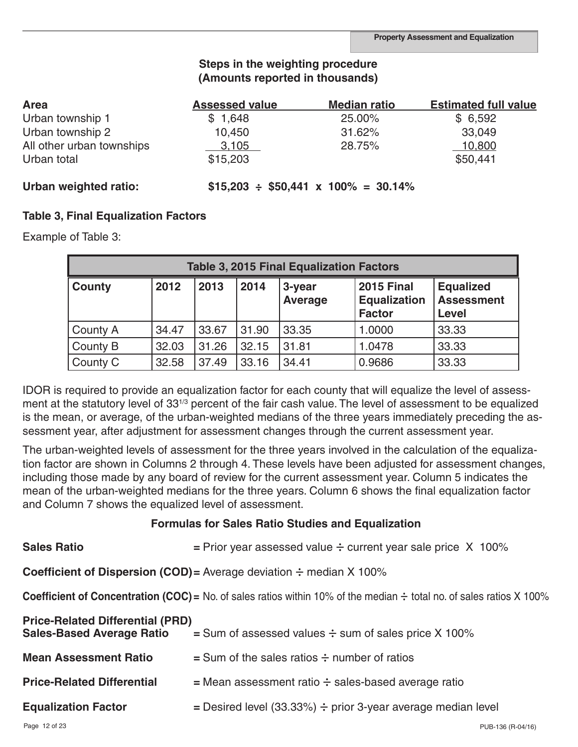### **Steps in the weighting procedure (Amounts reported in thousands)**

| <b>Area</b>               | <b>Assessed value</b> | <b>Median ratio</b>                           | <b>Estimated full value</b> |
|---------------------------|-----------------------|-----------------------------------------------|-----------------------------|
| Urban township 1          | \$1,648               | 25.00%                                        | \$6,592                     |
| Urban township 2          | 10,450                | 31.62%                                        | 33,049                      |
| All other urban townships | 3,105                 | 28.75%                                        | 10,800                      |
| Urban total               | \$15,203              |                                               | \$50,441                    |
| Urban weighted ratio:     |                       | $$15,203 \div $50,441 \times 100\% = 30.14\%$ |                             |

#### **Table 3, Final Equalization Factors**

Example of Table 3:

| <b>Table 3, 2015 Final Equalization Factors</b> |       |       |       |                          |                                                           |                                         |  |  |  |  |
|-------------------------------------------------|-------|-------|-------|--------------------------|-----------------------------------------------------------|-----------------------------------------|--|--|--|--|
| <b>County</b>                                   | 2012  | 2013  | 2014  | 3-year<br><b>Average</b> | <b>2015 Final</b><br><b>Equalization</b><br><b>Factor</b> | <b>Equalized</b><br>Assessment<br>Level |  |  |  |  |
| County A                                        | 34.47 | 33.67 | 31.90 | 33.35                    | 1.0000                                                    | 33.33                                   |  |  |  |  |
| County B                                        | 32.03 | 31.26 | 32.15 | 31.81                    | 1.0478                                                    | 33.33                                   |  |  |  |  |
| County C                                        | 32.58 | 37.49 | 33.16 | 34.41                    | 0.9686                                                    | 33.33                                   |  |  |  |  |

IDOR is required to provide an equalization factor for each county that will equalize the level of assessment at the statutory level of 33<sup>1/3</sup> percent of the fair cash value. The level of assessment to be equalized is the mean, or average, of the urban-weighted medians of the three years immediately preceding the assessment year, after adjustment for assessment changes through the current assessment year.

The urban-weighted levels of assessment for the three years involved in the calculation of the equalization factor are shown in Columns 2 through 4. These levels have been adjusted for assessment changes, including those made by any board of review for the current assessment year. Column 5 indicates the mean of the urban-weighted medians for the three years. Column 6 shows the final equalization factor and Column 7 shows the equalized level of assessment.

#### **Formulas for Sales Ratio Studies and Equalization**

| <b>Sales Ratio</b>                                                          | = Prior year assessed value $\div$ current year sale price X 100%                                                                |
|-----------------------------------------------------------------------------|----------------------------------------------------------------------------------------------------------------------------------|
|                                                                             | <b>Coefficient of Dispersion (COD)</b> = Average deviation $\div$ median X 100%                                                  |
|                                                                             | <b>Coefficient of Concentration (COC)</b> = No. of sales ratios within 10% of the median $\div$ total no. of sales ratios X 100% |
| <b>Price-Related Differential (PRD)</b><br><b>Sales-Based Average Ratio</b> | $=$ Sum of assessed values $\div$ sum of sales price X 100%                                                                      |
| <b>Mean Assessment Ratio</b>                                                | $=$ Sum of the sales ratios $\div$ number of ratios                                                                              |
| <b>Price-Related Differential</b>                                           | $=$ Mean assessment ratio $\div$ sales-based average ratio                                                                       |
| <b>Equalization Factor</b>                                                  | = Desired level (33.33%) $\div$ prior 3-year average median level                                                                |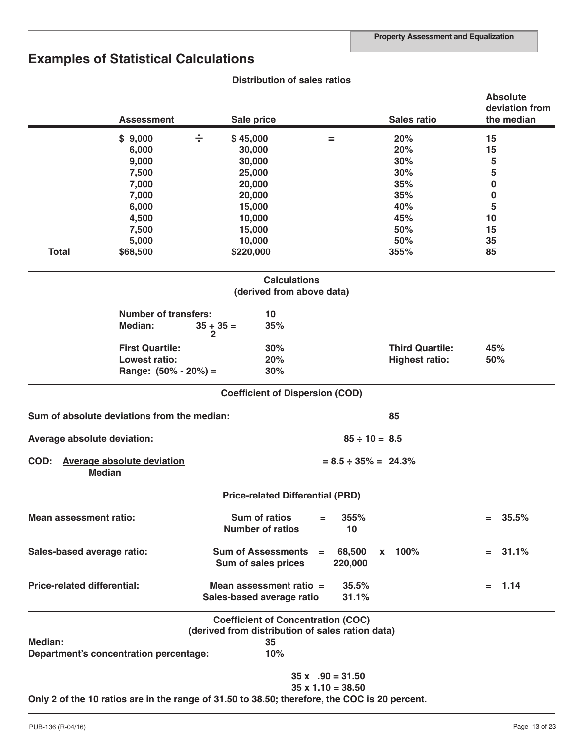## **Examples of Statistical Calculations**

|                                    | <b>Assessment</b>                                                                             |                     | Sale price                                           |     |                            | <b>Sales ratio</b>     |     | <b>Absolute</b><br>deviation from<br>the median |
|------------------------------------|-----------------------------------------------------------------------------------------------|---------------------|------------------------------------------------------|-----|----------------------------|------------------------|-----|-------------------------------------------------|
|                                    | \$9,000                                                                                       | ÷                   | \$45,000                                             | =   |                            | 20%                    | 15  |                                                 |
|                                    | 6,000                                                                                         |                     | 30,000                                               |     |                            | 20%                    | 15  |                                                 |
|                                    | 9,000                                                                                         |                     | 30,000                                               |     |                            | 30%                    | 5   |                                                 |
|                                    | 7,500                                                                                         |                     | 25,000                                               |     |                            | 30%                    | 5   |                                                 |
|                                    | 7,000                                                                                         |                     | 20,000                                               |     |                            | 35%                    | 0   |                                                 |
|                                    | 7,000                                                                                         |                     | 20,000                                               |     |                            | 35%                    | 0   |                                                 |
|                                    | 6,000                                                                                         |                     | 15,000                                               |     |                            | 40%                    | 5   |                                                 |
|                                    | 4,500                                                                                         |                     | 10,000                                               |     |                            | 45%                    | 10  |                                                 |
|                                    | 7,500                                                                                         |                     | 15,000                                               |     |                            | 50%                    | 15  |                                                 |
|                                    | 5,000                                                                                         |                     | 10,000                                               |     |                            | 50%                    | 35  |                                                 |
| <b>Total</b>                       | \$68,500                                                                                      |                     | \$220,000                                            |     |                            | 355%                   | 85  |                                                 |
|                                    |                                                                                               |                     | <b>Calculations</b><br>(derived from above data)     |     |                            |                        |     |                                                 |
|                                    | <b>Number of transfers:</b>                                                                   |                     | 10                                                   |     |                            |                        |     |                                                 |
|                                    | <b>Median:</b>                                                                                | $\frac{35+35}{2}$ = | 35%                                                  |     |                            |                        |     |                                                 |
|                                    | <b>First Quartile:</b>                                                                        |                     | 30%                                                  |     |                            | <b>Third Quartile:</b> | 45% |                                                 |
|                                    | <b>Lowest ratio:</b>                                                                          |                     | 20%                                                  |     |                            | <b>Highest ratio:</b>  | 50% |                                                 |
|                                    | Range: $(50\% - 20\%) =$                                                                      |                     | 30%                                                  |     |                            |                        |     |                                                 |
|                                    |                                                                                               |                     | <b>Coefficient of Dispersion (COD)</b>               |     |                            |                        |     |                                                 |
|                                    | Sum of absolute deviations from the median:                                                   |                     |                                                      |     |                            | 85                     |     |                                                 |
| Average absolute deviation:        |                                                                                               |                     |                                                      |     | $85 \div 10 = 8.5$         |                        |     |                                                 |
| COD:                               | <b>Average absolute deviation</b><br><b>Median</b>                                            |                     |                                                      |     | $= 8.5 \div 35\% = 24.3\%$ |                        |     |                                                 |
|                                    |                                                                                               |                     | <b>Price-related Differential (PRD)</b>              |     |                            |                        |     |                                                 |
| <b>Mean assessment ratio:</b>      |                                                                                               |                     | <b>Sum of ratios</b><br><b>Number of ratios</b>      |     | 355%<br>10                 |                        |     | 35.5%                                           |
| Sales-based average ratio:         |                                                                                               |                     | <b>Sum of Assessments</b><br>Sum of sales prices     | $=$ | 68,500<br>220,000          | x 100%                 |     | $= 31.1\%$                                      |
| <b>Price-related differential:</b> |                                                                                               |                     | Mean assessment ratio =<br>Sales-based average ratio |     | 35.5%<br>31.1%             |                        |     | $= 1.14$                                        |
|                                    |                                                                                               |                     | <b>Coefficient of Concentration (COC)</b>            |     |                            |                        |     |                                                 |
|                                    |                                                                                               |                     | (derived from distribution of sales ration data)     |     |                            |                        |     |                                                 |
| Median:                            | Department's concentration percentage:                                                        |                     | 35<br>10%                                            |     |                            |                        |     |                                                 |
|                                    |                                                                                               |                     |                                                      |     | $35 x$ . $90 = 31.50$      |                        |     |                                                 |
|                                    |                                                                                               |                     |                                                      |     | $35 \times 1.10 = 38.50$   |                        |     |                                                 |
|                                    | Only 2 of the 10 ratios are in the range of 31.50 to 38.50; therefore, the COC is 20 percent. |                     |                                                      |     |                            |                        |     |                                                 |

## **Distribution of sales ratios**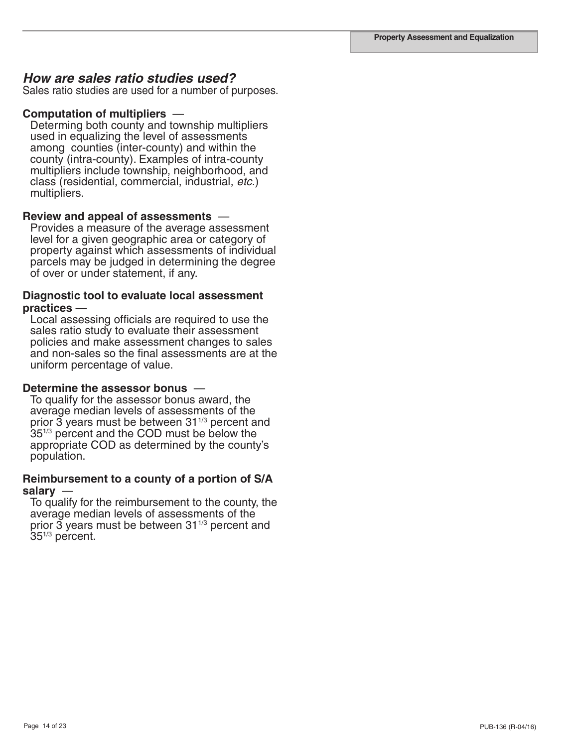#### *How are sales ratio studies used?*

Sales ratio studies are used for a number of purposes.

#### **Computation of multipliers** —

Determing both county and township multipliers used in equalizing the level of assessments among counties (inter-county) and within the county (intra-county). Examples of intra-county multipliers include township, neighborhood, and class (residential, commercial, industrial, *etc.*) multipliers.

#### **Review and appeal of assessments** —

Provides a measure of the average assessment level for a given geographic area or category of property against which assessments of individual parcels may be judged in determining the degree of over or under statement, if any.

## **Diagnostic tool to evaluate local assessment practices** —<br>Local assessing officials are required to use the

sales ratio study to evaluate their assessment policies and make assessment changes to sales and non-sales so the final assessments are at the uniform percentage of value.

#### **Determine the assessor bonus** —

To qualify for the assessor bonus award, the average median levels of assessments of the prior  $\overline{3}$  years must be between  $31^{1/3}$  percent and 35<sup>1/3</sup> percent and the COD must be below the appropriate COD as determined by the county's population.

#### **Reimbursement to a county of a portion of S/A salary** —

To qualify for the reimbursement to the county, the average median levels of assessments of the<br>prior 3 years must be between 31<sup>1/3</sup> percent and 351/3 percent.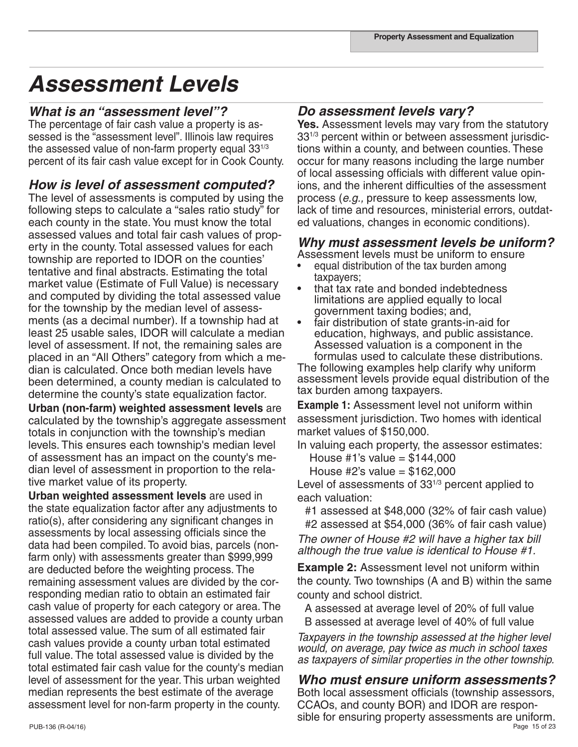## *Assessment Levels*

#### *What is an "assessment level"?*

The percentage of fair cash value a property is assessed is the "assessment level". Illinois law requires the assessed value of non-farm property equal  $33^{1/3}$ percent of its fair cash value except for in Cook County.

#### *How is level of assessment computed?*

The level of assessments is computed by using the following steps to calculate a "sales ratio study" for each county in the state. You must know the total assessed values and total fair cash values of property in the county. Total assessed values for each township are reported to IDOR on the counties' tentative and final abstracts. Estimating the total market value (Estimate of Full Value) is necessary and computed by dividing the total assessed value for the township by the median level of assessments (as a decimal number). If a township had at least 25 usable sales, IDOR will calculate a median level of assessment. If not, the remaining sales are placed in an "All Others" category from which a median is calculated. Once both median levels have been determined, a county median is calculated to determine the county's state equalization factor.

**Urban (non-farm) weighted assessment levels** are calculated by the township's aggregate assessment totals in conjunction with the township's median levels. This ensures each township's median level of assessment has an impact on the county's median level of assessment in proportion to the relative market value of its property.

**Urban weighted assessment levels** are used in the state equalization factor after any adjustments to ratio(s), after considering any significant changes in assessments by local assessing officials since the data had been compiled. To avoid bias, parcels (nonfarm only) with assessments greater than \$999,999 are deducted before the weighting process. The remaining assessment values are divided by the corresponding median ratio to obtain an estimated fair cash value of property for each category or area. The assessed values are added to provide a county urban total assessed value. The sum of all estimated fair cash values provide a county urban total estimated full value. The total assessed value is divided by the total estimated fair cash value for the county's median level of assessment for the year. This urban weighted median represents the best estimate of the average assessment level for non-farm property in the county.

#### *Do assessment levels vary?*

Yes. Assessment levels may vary from the statutory 331/3 percent within or between assessment jurisdictions within a county, and between counties. These occur for many reasons including the large number of local assessing officials with different value opinions, and the inherent difficulties of the assessment process (*e.g.,* pressure to keep assessments low, lack of time and resources, ministerial errors, outdated valuations, changes in economic conditions).

### *Why must assessment levels be uniform?*

Assessment levels must be uniform to ensure

- equal distribution of the tax burden among taxpayers;
- that tax rate and bonded indebtedness limitations are applied equally to local government taxing bodies; and,
- fair distribution of state grants-in-aid for education, highways, and public assistance. Assessed valuation is a component in the formulas used to calculate these distributions.

The following examples help clarify why uniform assessment levels provide equal distribution of the tax burden among taxpayers.

**Example 1:** Assessment level not uniform within assessment jurisdiction. Two homes with identical market values of \$150,000.

In valuing each property, the assessor estimates:

House #1's value =  $$144,000$ House #2's value = \$162,000

Level of assessments of 33<sup>1/3</sup> percent applied to each valuation:

#1 assessed at \$48,000 (32% of fair cash value) #2 assessed at \$54,000 (36% of fair cash value)

*The owner of House #2 will have a higher tax bill although the true value is identical to House #1.*

**Example 2:** Assessment level not uniform within the county. Two townships (A and B) within the same county and school district.

A assessed at average level of 20% of full value B assessed at average level of 40% of full value

*Taxpayers in the township assessed at the higher level would, on average, pay twice as much in school taxes as taxpayers of similar properties in the other township.*

### *Who must ensure uniform assessments?*

PUB-136 (R-04/16) Page 15 of 23 Both local assessment officials (township assessors, CCAOs, and county BOR) and IDOR are responsible for ensuring property assessments are uniform.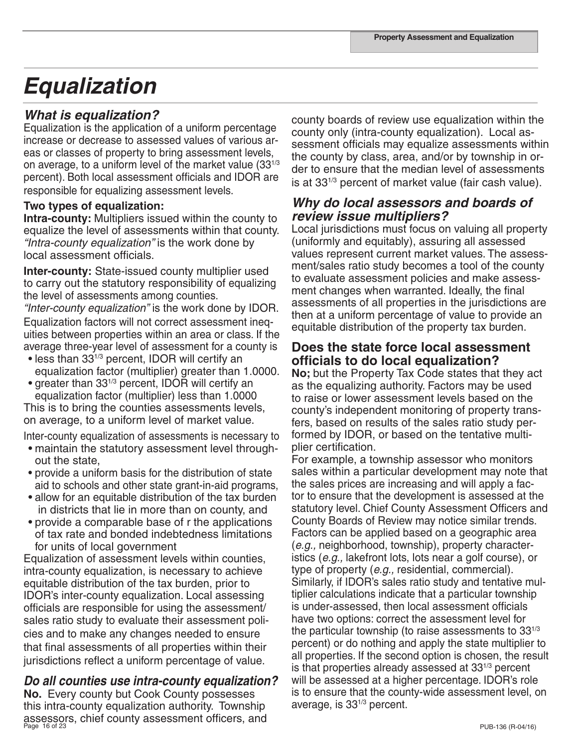## *Equalization*

### *What is equalization?*

Equalization is the application of a uniform percentage increase or decrease to assessed values of various areas or classes of property to bring assessment levels, on average, to a uniform level of the market value (331/3 percent). Both local assessment officials and IDOR are responsible for equalizing assessment levels.

#### **Two types of equalization:**

**Intra-county:** Multipliers issued within the county to equalize the level of assessments within that county. *"Intra-county equalization"* is the work done by local assessment officials.

**Inter-county:** State-issued county multiplier used to carry out the statutory responsibility of equalizing the level of assessments among counties.

*"Inter-county equalization"* is the work done by IDOR. Equalization factors will not correct assessment inequities between properties within an area or class. If the average three-year level of assessment for a county is

- less than 331/3 percent, IDOR will certify an equalization factor (multiplier) greater than 1.0000.
- greater than 331/3 percent, IDOR will certify an equalization factor (multiplier) less than 1.0000

This is to bring the counties assessments levels, on average, to a uniform level of market value.

Inter-county equalization of assessments is necessary to • maintain the statutory assessment level through-

- out the state,
- provide a uniform basis for the distribution of state aid to schools and other state grant-in-aid programs,
- allow for an equitable distribution of the tax burden in districts that lie in more than on county, and
- provide a comparable base of r the applications of tax rate and bonded indebtedness limitations for units of local government

Equalization of assessment levels within counties, intra-county equalization, is necessary to achieve equitable distribution of the tax burden, prior to IDOR's inter-county equalization. Local assessing officials are responsible for using the assessment/ sales ratio study to evaluate their assessment policies and to make any changes needed to ensure that final assessments of all properties within their jurisdictions reflect a uniform percentage of value.

## *Do all counties use intra-county equalization?*

Page 16 of 23 PUB-136 (R-04/16) assessors, chief county assessment officers, and **No.** Every county but Cook County possesses this intra-county equalization authority. Township

county boards of review use equalization within the county only (intra-county equalization). Local assessment officials may equalize assessments within the county by class, area, and/or by township in order to ensure that the median level of assessments is at 331/3 percent of market value (fair cash value).

### *Why do local assessors and boards of review issue multipliers?*

Local jurisdictions must focus on valuing all property (uniformly and equitably), assuring all assessed values represent current market values. The assessment/sales ratio study becomes a tool of the county to evaluate assessment policies and make assessment changes when warranted. Ideally, the final assessments of all properties in the jurisdictions are then at a uniform percentage of value to provide an equitable distribution of the property tax burden.

## **Does the state force local assessment officials to do local equalization?**

**No;** but the Property Tax Code states that they act as the equalizing authority. Factors may be used to raise or lower assessment levels based on the county's independent monitoring of property transfers, based on results of the sales ratio study performed by IDOR, or based on the tentative multiplier certification.

For example, a township assessor who monitors sales within a particular development may note that the sales prices are increasing and will apply a factor to ensure that the development is assessed at the statutory level. Chief County Assessment Officers and County Boards of Review may notice similar trends. Factors can be applied based on a geographic area (*e.g.,* neighborhood, township), property characteristics (*e.g.,* lakefront lots, lots near a golf course), or type of property (*e.g.,* residential, commercial). Similarly, if IDOR's sales ratio study and tentative multiplier calculations indicate that a particular township is under-assessed, then local assessment officials have two options: correct the assessment level for the particular township (to raise assessments to  $33^{1/3}$ ) percent) or do nothing and apply the state multiplier to all properties. If the second option is chosen, the result is that properties already assessed at  $33^{1/3}$  percent will be assessed at a higher percentage. IDOR's role is to ensure that the county-wide assessment level, on average, is 331/3 percent.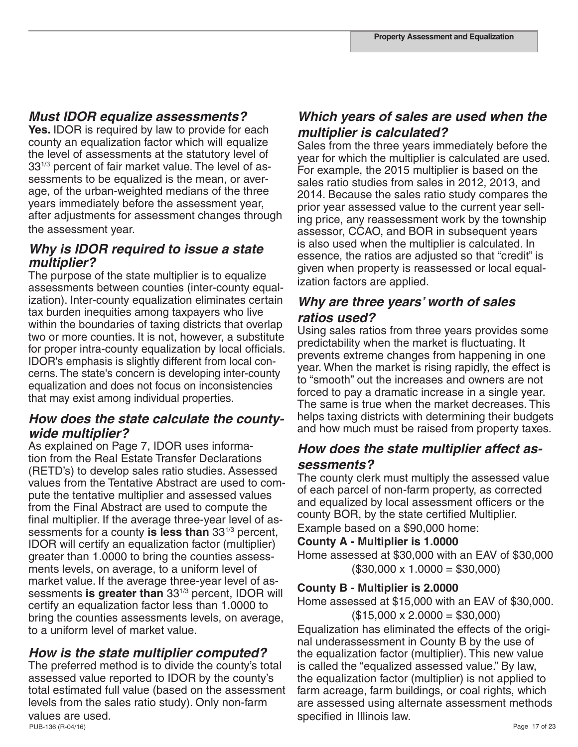## *Must IDOR equalize assessments?*

**Yes.** IDOR is required by law to provide for each county an equalization factor which will equalize the level of assessments at the statutory level of 331/3 percent of fair market value. The level of assessments to be equalized is the mean, or average, of the urban-weighted medians of the three years immediately before the assessment year, after adjustments for assessment changes through the assessment year.

### *Why is IDOR required to issue a state multiplier?*

The purpose of the state multiplier is to equalize assessments between counties (inter-county equalization). Inter-county equalization eliminates certain tax burden inequities among taxpayers who live within the boundaries of taxing districts that overlap two or more counties. It is not, however, a substitute for proper intra-county equalization by local officials. IDOR's emphasis is slightly different from local concerns. The state's concern is developing inter-county equalization and does not focus on inconsistencies that may exist among individual properties.

### *How does the state calculate the countywide multiplier?*

As explained on Page 7, IDOR uses information from the Real Estate Transfer Declarations (RETD's) to develop sales ratio studies. Assessed values from the Tentative Abstract are used to compute the tentative multiplier and assessed values from the Final Abstract are used to compute the final multiplier. If the average three-year level of assessments for a county **is less than** 331/3 percent, IDOR will certify an equalization factor (multiplier) greater than 1.0000 to bring the counties assessments levels, on average, to a uniform level of market value. If the average three-year level of assessments **is greater than** 331/3 percent, IDOR will certify an equalization factor less than 1.0000 to bring the counties assessments levels, on average, to a uniform level of market value.

### *How is the state multiplier computed?*

PUB-136 (R-04/16) Page 17 of 23 The preferred method is to divide the county's total assessed value reported to IDOR by the county's total estimated full value (based on the assessment levels from the sales ratio study). Only non-farm values are used.

## *Which years of sales are used when the multiplier is calculated?*

Sales from the three years immediately before the year for which the multiplier is calculated are used. For example, the 2015 multiplier is based on the sales ratio studies from sales in 2012, 2013, and 2014. Because the sales ratio study compares the prior year assessed value to the current year selling price, any reassessment work by the township assessor, CCAO, and BOR in subsequent years is also used when the multiplier is calculated. In essence, the ratios are adjusted so that "credit" is given when property is reassessed or local equalization factors are applied.

### *Why are three years' worth of sales ratios used?*

Using sales ratios from three years provides some predictability when the market is fluctuating. It prevents extreme changes from happening in one year. When the market is rising rapidly, the effect is to "smooth" out the increases and owners are not forced to pay a dramatic increase in a single year. The same is true when the market decreases. This helps taxing districts with determining their budgets and how much must be raised from property taxes.

### *How does the state multiplier affect assessments?*

The county clerk must multiply the assessed value of each parcel of non-farm property, as corrected and equalized by local assessment officers or the county BOR, by the state certified Multiplier. Example based on a \$90,000 home:

**County A - Multiplier is 1.0000** 

Home assessed at \$30,000 with an EAV of \$30,000  $($30,000 \times 1.0000 = $30,000)$ 

### **County B - Multiplier is 2.0000**

Home assessed at \$15,000 with an EAV of \$30,000.  $($15,000 \times 2.0000 = $30,000)$ 

Equalization has eliminated the effects of the original underassessment in County B by the use of the equalization factor (multiplier). This new value is called the "equalized assessed value." By law, the equalization factor (multiplier) is not applied to farm acreage, farm buildings, or coal rights, which are assessed using alternate assessment methods specified in Illinois law.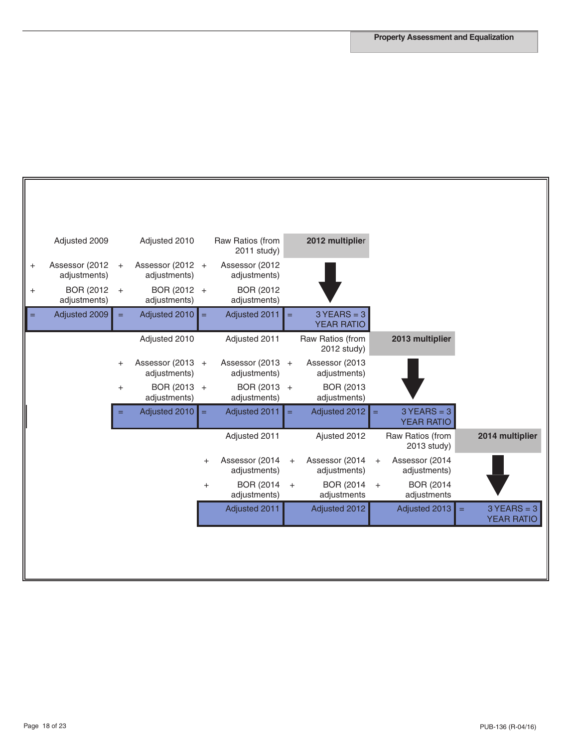| Adjusted 2009                               |                   | Adjusted 2010                    |            | Raw Ratios (from<br>2011 study)   |     | 2012 multiplier                    |     |                                    |     |                                    |
|---------------------------------------------|-------------------|----------------------------------|------------|-----------------------------------|-----|------------------------------------|-----|------------------------------------|-----|------------------------------------|
| Assessor (2012<br>$\ddot{}$<br>adjustments) | $\ddot{}$         | Assessor (2012 +<br>adjustments) |            | Assessor (2012<br>adjustments)    |     |                                    |     |                                    |     |                                    |
| BOR (2012)<br>adjustments)                  | $\qquad \qquad +$ | BOR (2012 +<br>adjustments)      |            | BOR (2012)<br>adjustments)        |     |                                    |     |                                    |     |                                    |
| Adjusted 2009<br>=                          | $=$               | Adjusted 2010                    | $\equiv$   | Adjusted 2011                     | $=$ | $3$ YEARS = 3<br><b>YEAR RATIO</b> |     |                                    |     |                                    |
|                                             |                   | Adjusted 2010                    |            | Adjusted 2011                     |     | Raw Ratios (from<br>2012 study)    |     | 2013 multiplier                    |     |                                    |
|                                             | $\ddot{}$         | Assessor (2013 +<br>adjustments) |            | Assessor (2013 +<br>adjustments)  |     | Assessor (2013<br>adjustments)     |     |                                    |     |                                    |
|                                             | $\ddot{}$         | BOR (2013 +<br>adjustments)      |            | BOR (2013 +<br>adjustments)       |     | <b>BOR (2013)</b><br>adjustments)  |     |                                    |     |                                    |
|                                             |                   | Adjusted 2010                    | $\equiv$   | Adjusted 2011                     | $=$ | Adjusted 2012                      | $=$ | $3$ YEARS = 3<br><b>YEAR RATIO</b> |     |                                    |
|                                             |                   |                                  |            | Adjusted 2011                     |     | Ajusted 2012                       |     | Raw Ratios (from<br>2013 study)    |     | 2014 multiplier                    |
|                                             |                   |                                  | $\ddot{}$  | Assessor (2014<br>adjustments)    | $+$ | Assessor (2014<br>adjustments)     | $+$ | Assessor (2014<br>adjustments)     |     |                                    |
|                                             |                   |                                  | $\hbox{ }$ | <b>BOR (2014)</b><br>adjustments) | $+$ | BOR (2014)<br>adjustments          | $+$ | <b>BOR (2014)</b><br>adjustments   |     |                                    |
|                                             |                   |                                  |            | Adjusted 2011                     |     | Adjusted 2012                      |     | Adjusted 2013                      | $=$ | $3$ YEARS = 3<br><b>YEAR RATIO</b> |
|                                             |                   |                                  |            |                                   |     |                                    |     |                                    |     |                                    |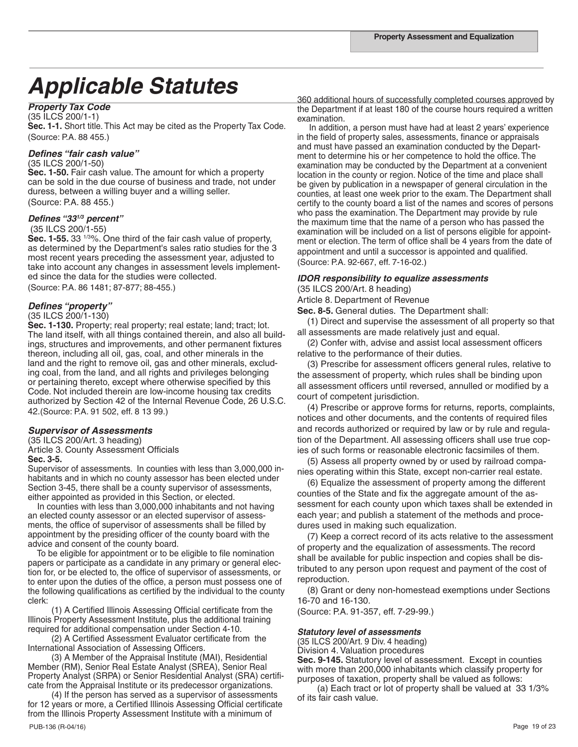# Applicable Statutes<br>360 additional hours of successfully completed courses approved by

#### *Property Tax Code*

(35 ILCS 200/1-1)

**Sec. 1-1.** Short title. This Act may be cited as the Property Tax Code. (Source: P.A. 88 455.)

#### *Defines "fair cash value"*

(35 ILCS 200/1-50)

**Sec. 1-50.** Fair cash value. The amount for which a property can be sold in the due course of business and trade, not under duress, between a willing buyer and a willing seller. (Source: P.A. 88 455.)

#### *Defines "331/3 percent"*

#### (35 ILCS 200/1-55)

**Sec. 1-55.** 33 1/3%. One third of the fair cash value of property, as determined by the Department's sales ratio studies for the 3 most recent years preceding the assessment year, adjusted to take into account any changes in assessment levels implemented since the data for the studies were collected.

(Source: P.A. 86 1481; 87-877; 88-455.)

#### *Defines "property"*

#### (35 ILCS 200/1-130)

Sec. 1-130. Property; real property; real estate; land; tract; lot. The land itself, with all things contained therein, and also all buildings, structures and improvements, and other permanent fixtures thereon, including all oil, gas, coal, and other minerals in the land and the right to remove oil, gas and other minerals, excluding coal, from the land, and all rights and privileges belonging or pertaining thereto, except where otherwise specified by this Code. Not included therein are low-income housing tax credits authorized by Section 42 of the Internal Revenue Code, 26 U.S.C. 42.(Source: P.A. 91 502, eff. 8 13 99.)

#### *Supervisor of Assessments*

(35 ILCS 200/Art. 3 heading) Article 3. County Assessment Officials

#### **Sec. 3-5.**

Supervisor of assessments. In counties with less than 3,000,000 inhabitants and in which no county assessor has been elected under Section 3-45, there shall be a county supervisor of assessments, either appointed as provided in this Section, or elected.

 In counties with less than 3,000,000 inhabitants and not having an elected county assessor or an elected supervisor of assessments, the office of supervisor of assessments shall be filled by appointment by the presiding officer of the county board with the advice and consent of the county board.

 To be eligible for appointment or to be eligible to file nomination papers or participate as a candidate in any primary or general election for, or be elected to, the office of supervisor of assessments, or to enter upon the duties of the office, a person must possess one of the following qualifications as certified by the individual to the county clerk:

 (1) A Certified Illinois Assessing Official certificate from the Illinois Property Assessment Institute, plus the additional training required for additional compensation under Section 4-10.

 (2) A Certified Assessment Evaluator certificate from the International Association of Assessing Officers.

 (3) A Member of the Appraisal Institute (MAI), Residential Member (RM), Senior Real Estate Analyst (SREA), Senior Real Property Analyst (SRPA) or Senior Residential Analyst (SRA) certificate from the Appraisal Institute or its predecessor organizations.

 (4) If the person has served as a supervisor of assessments for 12 years or more, a Certified Illinois Assessing Official certificate from the Illinois Property Assessment Institute with a minimum of

the Department if at least 180 of the course hours required a written examination.

 In addition, a person must have had at least 2 years' experience in the field of property sales, assessments, finance or appraisals and must have passed an examination conducted by the Department to determine his or her competence to hold the office. The examination may be conducted by the Department at a convenient location in the county or region. Notice of the time and place shall be given by publication in a newspaper of general circulation in the counties, at least one week prior to the exam. The Department shall certify to the county board a list of the names and scores of persons who pass the examination. The Department may provide by rule the maximum time that the name of a person who has passed the examination will be included on a list of persons eligible for appointment or election. The term of office shall be 4 years from the date of appointment and until a successor is appointed and qualified. (Source: P.A. 92-667, eff. 7-16-02.)

#### *IDOR responsibility to equalize assessments*

(35 ILCS 200/Art. 8 heading)

Article 8. Department of Revenue

**Sec. 8-5.** General duties. The Department shall:

 (1) Direct and supervise the assessment of all property so that all assessments are made relatively just and equal.

 (2) Confer with, advise and assist local assessment officers relative to the performance of their duties.

 (3) Prescribe for assessment officers general rules, relative to the assessment of property, which rules shall be binding upon all assessment officers until reversed, annulled or modified by a court of competent jurisdiction.

 (4) Prescribe or approve forms for returns, reports, complaints, notices and other documents, and the contents of required files and records authorized or required by law or by rule and regulation of the Department. All assessing officers shall use true copies of such forms or reasonable electronic facsimiles of them.

 (5) Assess all property owned by or used by railroad companies operating within this State, except non-carrier real estate.

 (6) Equalize the assessment of property among the different counties of the State and fix the aggregate amount of the assessment for each county upon which taxes shall be extended in each year; and publish a statement of the methods and procedures used in making such equalization.

 (7) Keep a correct record of its acts relative to the assessment of property and the equalization of assessments. The record shall be available for public inspection and copies shall be distributed to any person upon request and payment of the cost of reproduction.

 (8) Grant or deny non-homestead exemptions under Sections 16-70 and 16-130.

(Source: P.A. 91-357, eff. 7-29-99.)

#### *Statutory level of assessments*

(35 ILCS 200/Art. 9 Div. 4 heading) Division 4. Valuation procedures

**Sec. 9-145.** Statutory level of assessment. Except in counties with more than 200,000 inhabitants which classify property for purposes of taxation, property shall be valued as follows:

 (a) Each tract or lot of property shall be valued at 33 1/3% of its fair cash value.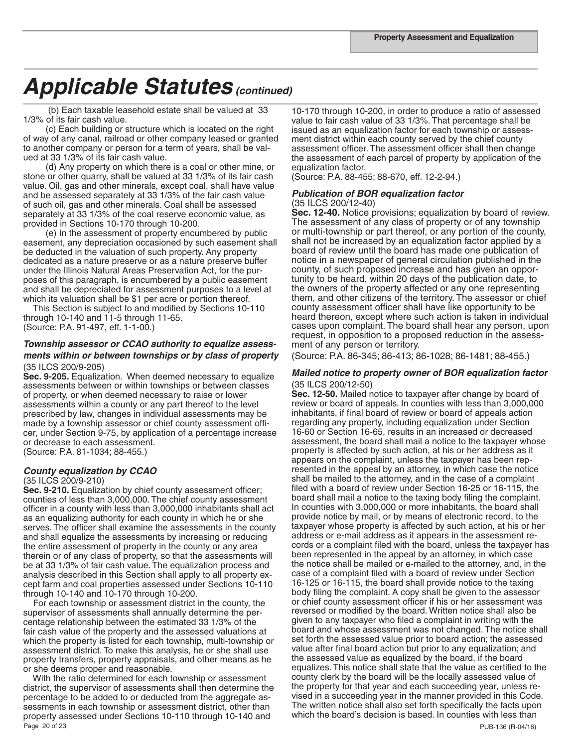(b) Each taxable leasehold estate shall be valued at 33 1/3% of its fair cash value.

 (c) Each building or structure which is located on the right of way of any canal, railroad or other company leased or granted to another company or person for a term of years, shall be valued at 33 1/3% of its fair cash value.

 (d) Any property on which there is a coal or other mine, or stone or other quarry, shall be valued at 33 1/3% of its fair cash value. Oil, gas and other minerals, except coal, shall have value and be assessed separately at 33 1/3% of the fair cash value of such oil, gas and other minerals. Coal shall be assessed separately at 33 1/3% of the coal reserve economic value, as provided in Sections 10-170 through 10-200.

 (e) In the assessment of property encumbered by public easement, any depreciation occasioned by such easement shall be deducted in the valuation of such property. Any property dedicated as a nature preserve or as a nature preserve buffer under the Illinois Natural Areas Preservation Act, for the purposes of this paragraph, is encumbered by a public easement and shall be depreciated for assessment purposes to a level at which its valuation shall be \$1 per acre or portion thereof.

 This Section is subject to and modified by Sections 10-110 through 10-140 and 11-5 through 11-65. (Source: P.A. 91-497, eff. 1-1-00.)

#### *Township assessor or CCAO authority to equalize assessments within or between townships or by class of property* (35 ILCS 200/9-205)

**Sec. 9-205.** Equalization. When deemed necessary to equalize assessments between or within townships or between classes of property, or when deemed necessary to raise or lower assessments within a county or any part thereof to the level prescribed by law, changes in individual assessments may be made by a township assessor or chief county assessment officer, under Section 9-75, by application of a percentage increase or decrease to each assessment. (Source: P.A. 81-1034; 88-455.)

*County equalization by CCAO* 

#### (35 ILCS 200/9-210)

**Sec. 9-210.** Equalization by chief county assessment officer; counties of less than 3,000,000. The chief county assessment officer in a county with less than 3,000,000 inhabitants shall act as an equalizing authority for each county in which he or she serves. The officer shall examine the assessments in the county and shall equalize the assessments by increasing or reducing the entire assessment of property in the county or any area therein or of any class of property, so that the assessments will be at 33 1/3% of fair cash value. The equalization process and analysis described in this Section shall apply to all property except farm and coal properties assessed under Sections 10-110 through 10-140 and 10-170 through 10-200.

 For each township or assessment district in the county, the supervisor of assessments shall annually determine the percentage relationship between the estimated 33 1/3% of the fair cash value of the property and the assessed valuations at which the property is listed for each township, multi-township or assessment district. To make this analysis, he or she shall use property transfers, property appraisals, and other means as he or she deems proper and reasonable.

Page 20 of 23 PUB-136 (R-04/16) PUB-136 (R-04/16) With the ratio determined for each township or assessment district, the supervisor of assessments shall then determine the percentage to be added to or deducted from the aggregate assessments in each township or assessment district, other than property assessed under Sections 10-110 through 10-140 and

10-170 through 10-200, in order to produce a ratio of assessed value to fair cash value of 33 1/3%. That percentage shall be issued as an equalization factor for each township or assessment district within each county served by the chief county assessment officer. The assessment officer shall then change the assessment of each parcel of property by application of the equalization factor.

(Source: P.A. 88-455; 88-670, eff. 12-2-94.)

#### *Publication of BOR equalization factor*  (35 ILCS 200/12-40)

**Sec. 12-40.** Notice provisions; equalization by board of review. The assessment of any class of property or of any township or multi-township or part thereof, or any portion of the county, shall not be increased by an equalization factor applied by a board of review until the board has made one publication of notice in a newspaper of general circulation published in the county, of such proposed increase and has given an opportunity to be heard, within 20 days of the publication date, to the owners of the property affected or any one representing them, and other citizens of the territory. The assessor or chief county assessment officer shall have like opportunity to be heard thereon, except where such action is taken in individual cases upon complaint. The board shall hear any person, upon request, in opposition to a proposed reduction in the assessment of any person or territory.

(Source: P.A. 86-345; 86-413; 86-1028; 86-1481; 88-455.)

#### *Mailed notice to property owner of BOR equalization factor* (35 ILCS 200/12-50)

**Sec. 12-50.** Mailed notice to taxpayer after change by board of review or board of appeals. In counties with less than 3,000,000 inhabitants, if final board of review or board of appeals action regarding any property, including equalization under Section 16-60 or Section 16-65, results in an increased or decreased assessment, the board shall mail a notice to the taxpayer whose property is affected by such action, at his or her address as it appears on the complaint, unless the taxpayer has been represented in the appeal by an attorney, in which case the notice shall be mailed to the attorney, and in the case of a complaint filed with a board of review under Section 16-25 or 16-115, the board shall mail a notice to the taxing body filing the complaint. In counties with 3,000,000 or more inhabitants, the board shall provide notice by mail, or by means of electronic record, to the taxpayer whose property is affected by such action, at his or her address or e-mail address as it appears in the assessment records or a complaint filed with the board, unless the taxpayer has been represented in the appeal by an attorney, in which case the notice shall be mailed or e-mailed to the attorney, and, in the case of a complaint filed with a board of review under Section 16-125 or 16-115, the board shall provide notice to the taxing body filing the complaint. A copy shall be given to the assessor or chief county assessment officer if his or her assessment was reversed or modified by the board. Written notice shall also be given to any taxpayer who filed a complaint in writing with the board and whose assessment was not changed. The notice shall set forth the assessed value prior to board action; the assessed value after final board action but prior to any equalization; and the assessed value as equalized by the board, if the board equalizes. This notice shall state that the value as certified to the county clerk by the board will be the locally assessed value of the property for that year and each succeeding year, unless revised in a succeeding year in the manner provided in this Code. The written notice shall also set forth specifically the facts upon which the board's decision is based. In counties with less than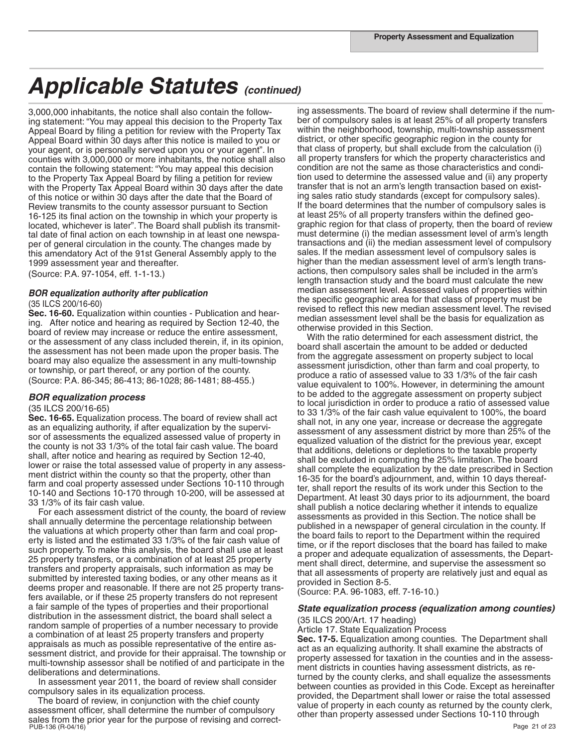3,000,000 inhabitants, the notice shall also contain the following statement: "You may appeal this decision to the Property Tax Appeal Board by filing a petition for review with the Property Tax Appeal Board within 30 days after this notice is mailed to you or your agent, or is personally served upon you or your agent". In counties with 3,000,000 or more inhabitants, the notice shall also contain the following statement: "You may appeal this decision to the Property Tax Appeal Board by filing a petition for review with the Property Tax Appeal Board within 30 days after the date of this notice or within 30 days after the date that the Board of Review transmits to the county assessor pursuant to Section 16-125 its final action on the township in which your property is located, whichever is later". The Board shall publish its transmittal date of final action on each township in at least one newspaper of general circulation in the county. The changes made by this amendatory Act of the 91st General Assembly apply to the 1999 assessment year and thereafter.

(Source: P.A. 97-1054, eff. 1-1-13.)

#### *BOR equalization authority after publication* (35 ILCS 200/16-60)

**Sec. 16-60.** Equalization within counties - Publication and hearing. After notice and hearing as required by Section 12-40, the board of review may increase or reduce the entire assessment, or the assessment of any class included therein, if, in its opinion, the assessment has not been made upon the proper basis. The board may also equalize the assessment in any multi-township or township, or part thereof, or any portion of the county. (Source: P.A. 86-345; 86-413; 86-1028; 86-1481; 88-455.)

#### *BOR equalization process*

#### (35 ILCS 200/16-65)

**Sec. 16-65.** Equalization process. The board of review shall act as an equalizing authority, if after equalization by the supervisor of assessments the equalized assessed value of property in the county is not 33 1/3% of the total fair cash value. The board shall, after notice and hearing as required by Section 12-40, lower or raise the total assessed value of property in any assessment district within the county so that the property, other than farm and coal property assessed under Sections 10-110 through 10-140 and Sections 10-170 through 10-200, will be assessed at 33 1/3% of its fair cash value.

 For each assessment district of the county, the board of review shall annually determine the percentage relationship between the valuations at which property other than farm and coal property is listed and the estimated 33 1/3% of the fair cash value of such property. To make this analysis, the board shall use at least 25 property transfers, or a combination of at least 25 property transfers and property appraisals, such information as may be submitted by interested taxing bodies, or any other means as it deems proper and reasonable. If there are not 25 property transfers available, or if these 25 property transfers do not represent a fair sample of the types of properties and their proportional distribution in the assessment district, the board shall select a random sample of properties of a number necessary to provide a combination of at least 25 property transfers and property appraisals as much as possible representative of the entire assessment district, and provide for their appraisal. The township or multi-township assessor shall be notified of and participate in the deliberations and determinations.

 In assessment year 2011, the board of review shall consider compulsory sales in its equalization process.

PUB-136 (R-04/16) Processes to the purpose of the contract of the contract public contract the public contract of 23 of 23 The board of review, in conjunction with the chief county assessment officer, shall determine the number of compulsory sales from the prior year for the purpose of revising and correct-

ing assessments. The board of review shall determine if the number of compulsory sales is at least 25% of all property transfers within the neighborhood, township, multi-township assessment district, or other specific geographic region in the county for that class of property, but shall exclude from the calculation (i) all property transfers for which the property characteristics and condition are not the same as those characteristics and condition used to determine the assessed value and (ii) any property transfer that is not an arm's length transaction based on existing sales ratio study standards (except for compulsory sales). If the board determines that the number of compulsory sales is at least 25% of all property transfers within the defined geographic region for that class of property, then the board of review must determine (i) the median assessment level of arm's length transactions and (ii) the median assessment level of compulsory sales. If the median assessment level of compulsory sales is higher than the median assessment level of arm's length transactions, then compulsory sales shall be included in the arm's length transaction study and the board must calculate the new median assessment level. Assessed values of properties within the specific geographic area for that class of property must be revised to reflect this new median assessment level. The revised median assessment level shall be the basis for equalization as otherwise provided in this Section.

 With the ratio determined for each assessment district, the board shall ascertain the amount to be added or deducted from the aggregate assessment on property subject to local assessment jurisdiction, other than farm and coal property, to produce a ratio of assessed value to 33 1/3% of the fair cash value equivalent to 100%. However, in determining the amount to be added to the aggregate assessment on property subject to local jurisdiction in order to produce a ratio of assessed value to 33 1/3% of the fair cash value equivalent to 100%, the board shall not, in any one year, increase or decrease the aggregate assessment of any assessment district by more than 25% of the equalized valuation of the district for the previous year, except that additions, deletions or depletions to the taxable property shall be excluded in computing the 25% limitation. The board shall complete the equalization by the date prescribed in Section 16-35 for the board's adjournment, and, within 10 days thereafter, shall report the results of its work under this Section to the Department. At least 30 days prior to its adjournment, the board shall publish a notice declaring whether it intends to equalize assessments as provided in this Section. The notice shall be published in a newspaper of general circulation in the county. If the board fails to report to the Department within the required time, or if the report discloses that the board has failed to make a proper and adequate equalization of assessments, the Department shall direct, determine, and supervise the assessment so that all assessments of property are relatively just and equal as provided in Section 8-5.

(Source: P.A. 96-1083, eff. 7-16-10.)

## *State equalization process (equalization among counties)*

(35 ILCS 200/Art. 17 heading) Article 17. State Equalization Process

**Sec. 17-5.** Equalization among counties. The Department shall act as an equalizing authority. It shall examine the abstracts of property assessed for taxation in the counties and in the assessment districts in counties having assessment districts, as returned by the county clerks, and shall equalize the assessments between counties as provided in this Code. Except as hereinafter provided, the Department shall lower or raise the total assessed value of property in each county as returned by the county clerk, other than property assessed under Sections 10-110 through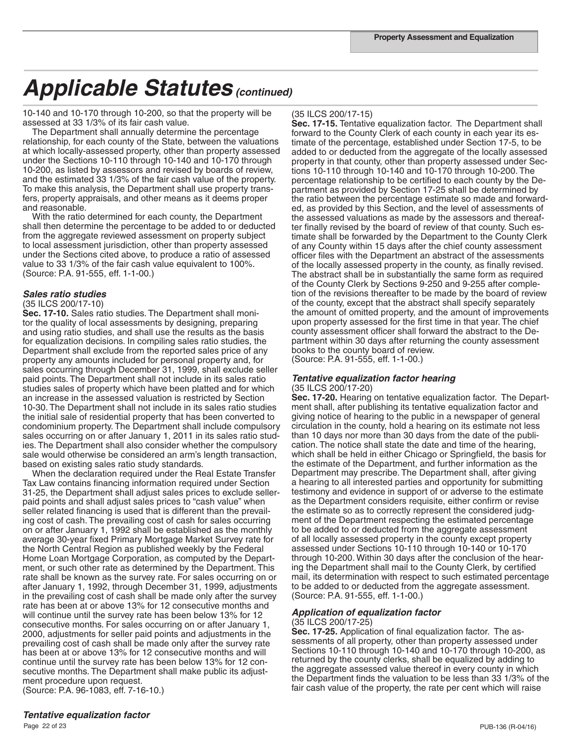10-140 and 10-170 through 10-200, so that the property will be assessed at 33 1/3% of its fair cash value.

 The Department shall annually determine the percentage relationship, for each county of the State, between the valuations at which locally-assessed property, other than property assessed under the Sections 10-110 through 10-140 and 10-170 through 10-200, as listed by assessors and revised by boards of review, and the estimated 33 1/3% of the fair cash value of the property. To make this analysis, the Department shall use property transfers, property appraisals, and other means as it deems proper and reasonable.

 With the ratio determined for each county, the Department shall then determine the percentage to be added to or deducted from the aggregate reviewed assessment on property subject to local assessment jurisdiction, other than property assessed under the Sections cited above, to produce a ratio of assessed value to 33 1/3% of the fair cash value equivalent to 100%. (Source: P.A. 91-555, eff. 1-1-00.)

#### *Sales ratio studies*

#### (35 ILCS 200/17-10)

**Sec. 17-10.** Sales ratio studies. The Department shall monitor the quality of local assessments by designing, preparing and using ratio studies, and shall use the results as the basis for equalization decisions. In compiling sales ratio studies, the Department shall exclude from the reported sales price of any property any amounts included for personal property and, for sales occurring through December 31, 1999, shall exclude seller paid points. The Department shall not include in its sales ratio studies sales of property which have been platted and for which an increase in the assessed valuation is restricted by Section 10-30. The Department shall not include in its sales ratio studies the initial sale of residential property that has been converted to condominium property. The Department shall include compulsory sales occurring on or after January 1, 2011 in its sales ratio studies. The Department shall also consider whether the compulsory sale would otherwise be considered an arm's length transaction, based on existing sales ratio study standards.

 When the declaration required under the Real Estate Transfer Tax Law contains financing information required under Section 31-25, the Department shall adjust sales prices to exclude sellerpaid points and shall adjust sales prices to "cash value" when seller related financing is used that is different than the prevailing cost of cash. The prevailing cost of cash for sales occurring on or after January 1, 1992 shall be established as the monthly average 30-year fixed Primary Mortgage Market Survey rate for the North Central Region as published weekly by the Federal Home Loan Mortgage Corporation, as computed by the Department, or such other rate as determined by the Department. This rate shall be known as the survey rate. For sales occurring on or after January 1, 1992, through December 31, 1999, adjustments in the prevailing cost of cash shall be made only after the survey rate has been at or above 13% for 12 consecutive months and will continue until the survey rate has been below 13% for 12 consecutive months. For sales occurring on or after January 1, 2000, adjustments for seller paid points and adjustments in the prevailing cost of cash shall be made only after the survey rate has been at or above 13% for 12 consecutive months and will continue until the survey rate has been below 13% for 12 consecutive months. The Department shall make public its adjustment procedure upon request.

(Source: P.A. 96-1083, eff. 7-16-10.)

#### (35 ILCS 200/17-15)

**Sec. 17-15.** Tentative equalization factor. The Department shall forward to the County Clerk of each county in each year its estimate of the percentage, established under Section 17-5, to be added to or deducted from the aggregate of the locally assessed property in that county, other than property assessed under Sections 10-110 through 10-140 and 10-170 through 10-200. The percentage relationship to be certified to each county by the Department as provided by Section 17-25 shall be determined by the ratio between the percentage estimate so made and forwarded, as provided by this Section, and the level of assessments of the assessed valuations as made by the assessors and thereafter finally revised by the board of review of that county. Such estimate shall be forwarded by the Department to the County Clerk of any County within 15 days after the chief county assessment officer files with the Department an abstract of the assessments of the locally assessed property in the county, as finally revised. The abstract shall be in substantially the same form as required of the County Clerk by Sections 9-250 and 9-255 after completion of the revisions thereafter to be made by the board of review of the county, except that the abstract shall specify separately the amount of omitted property, and the amount of improvements upon property assessed for the first time in that year. The chief county assessment officer shall forward the abstract to the Department within 30 days after returning the county assessment books to the county board of review. (Source: P.A. 91-555, eff. 1-1-00.)

## *Tentative equalization factor hearing* (35 ILCS 200/17-20)

**Sec. 17-20.** Hearing on tentative equalization factor. The Department shall, after publishing its tentative equalization factor and giving notice of hearing to the public in a newspaper of general circulation in the county, hold a hearing on its estimate not less than 10 days nor more than 30 days from the date of the publication. The notice shall state the date and time of the hearing, which shall be held in either Chicago or Springfield, the basis for the estimate of the Department, and further information as the Department may prescribe. The Department shall, after giving a hearing to all interested parties and opportunity for submitting testimony and evidence in support of or adverse to the estimate as the Department considers requisite, either confirm or revise the estimate so as to correctly represent the considered judgment of the Department respecting the estimated percentage to be added to or deducted from the aggregate assessment of all locally assessed property in the county except property assessed under Sections 10-110 through 10-140 or 10-170 through 10-200. Within 30 days after the conclusion of the hearing the Department shall mail to the County Clerk, by certified mail, its determination with respect to such estimated percentage to be added to or deducted from the aggregate assessment. (Source: P.A. 91-555, eff. 1-1-00.)

#### *Application of equalization factor*

#### (35 ILCS 200/17-25)

**Sec. 17-25.** Application of final equalization factor. The assessments of all property, other than property assessed under Sections 10-110 through 10-140 and 10-170 through 10-200, as returned by the county clerks, shall be equalized by adding to the aggregate assessed value thereof in every county in which the Department finds the valuation to be less than 33 1/3% of the fair cash value of the property, the rate per cent which will raise